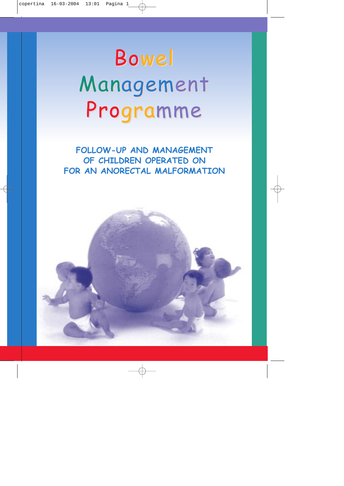# Bowel Management Programme

**FOLLOW-UP AND MANAGEMENT OF CHILDREN OPERATED ON FOR AN ANORECTAL MALFORMATION**

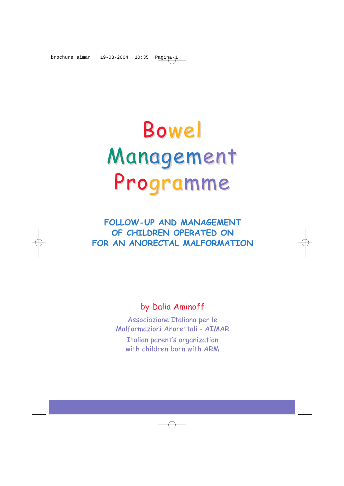# Bowel Management Programme

**FOLLOW-UP AND MANAGEMENT OF CHILDREN OPERATED ON FOR AN ANORECTAL MALFORMATION**

## by Dalia Aminoff

Associazione Italiana per le Malformazioni Anorettali - AIMAR Italian parent's organization with children born with ARM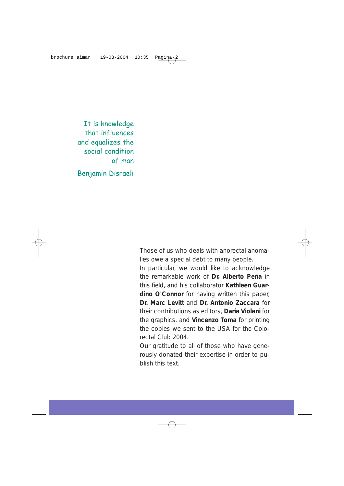It is knowledge that influences and equalizes the social condition of man

Benjamin Disraeli

Those of us who deals with anorectal anomalies owe a special debt to many people.

In particular, we would like to acknowledge the remarkable work of **Dr. Alberto Peña** in this field, and his collaborator **Kathleen Guardino O'Connor** for having written this paper, **Dr. Marc Levitt** and **Dr. Antonio Zaccara** for their contributions as editors, **Daria Violani** for the graphics, and **Vincenzo Toma** for printing the copies we sent to the USA for the Colorectal Club 2004.

Our gratitude to all of those who have generously donated their expertise in order to publish this text.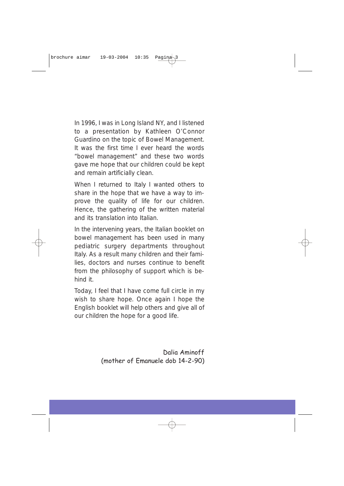In 1996, I was in Long Island NY, and I listened to a presentation by Kathleen O'Connor Guardino on the topic of Bowel Management. It was the first time I ever heard the words "bowel management" and these two words gave me hope that our children could be kept and remain artificially clean.

When I returned to Italy I wanted others to share in the hope that we have a way to improve the quality of life for our children. Hence, the gathering of the written material and its translation into Italian.

In the intervening years, the Italian booklet on bowel management has been used in many pediatric surgery departments throughout Italy. As a result many children and their families, doctors and nurses continue to benefit from the philosophy of support which is behind it.

Today, I feel that I have come full circle in my wish to share hope. Once again I hope the English booklet will help others and give all of our children the hope for a good life.

> Dalia Aminoff (mother of Emanuele dob 14-2-90)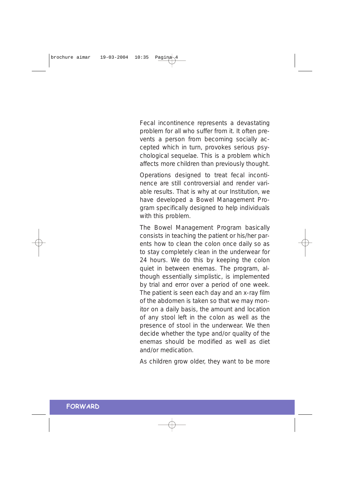Fecal incontinence represents a devastating problem for all who suffer from it. It often prevents a person from becoming socially accepted which in turn, provokes serious psychological sequelae. This is a problem which affects more children than previously thought.

Operations designed to treat fecal incontinence are still controversial and render variable results. That is why at our Institution, we have developed a Bowel Management Program specifically designed to help individuals with this problem.

The Bowel Management Program basically consists in teaching the patient or his/her parents how to clean the colon once daily so as to stay completely clean in the underwear for 24 hours. We do this by keeping the colon quiet in between enemas. The program, although essentially simplistic, is implemented by trial and error over a period of one week. The patient is seen each day and an x-ray film of the abdomen is taken so that we may monitor on a daily basis, the amount and location of any stool left in the colon as well as the presence of stool in the underwear. We then decide whether the type and/or quality of the enemas should be modified as well as diet and/or medication.

As children grow older, they want to be more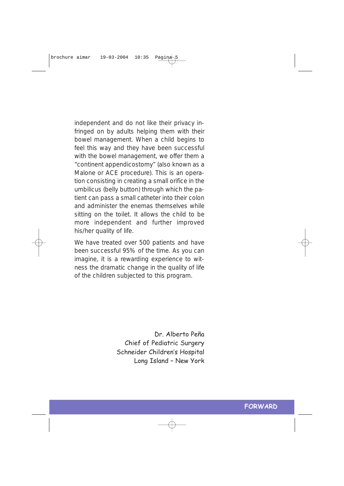independent and do not like their privacy infringed on by adults helping them with their bowel management. When a child begins to feel this way and they have been successful with the bowel management, we offer them a "continent appendicostomy" (also known as a Malone or ACE procedure). This is an operation consisting in creating a small orifice in the umbilicus (belly button) through which the patient can pass a small catheter into their colon and administer the enemas themselves while sitting on the toilet. It allows the child to be more independent and further improved his/her quality of life.

We have treated over 500 patients and have been successful 95% of the time. As you can imagine, it is a rewarding experience to witness the dramatic change in the quality of life of the children subjected to this program.

> Dr. Alberto Peña Chief of Pediatric Surgery Schneider Children's Hospital Long Island – New York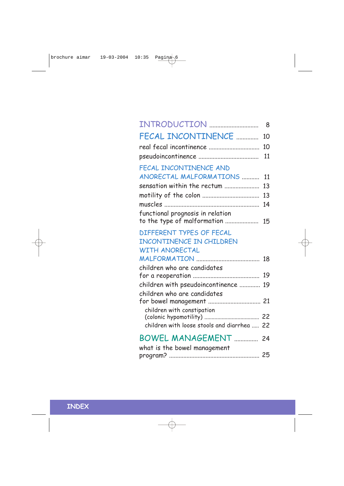| INTRODUCTION                                                        | 8  |
|---------------------------------------------------------------------|----|
| FECAL INCONTINENCE                                                  | 10 |
|                                                                     | 10 |
|                                                                     | 11 |
| FECAL INCONTINENCE AND                                              |    |
| ANORECTAL MALFORMATIONS                                             | 11 |
| sensation within the rectum                                         | 13 |
|                                                                     | 13 |
|                                                                     | 14 |
| functional prognosis in relation<br>to the type of malformation  15 |    |
| DIFFERENT TYPES OF FECAL<br><b>INCONTINENCE IN CHILDREN</b>         |    |
| <b>WITH ANORECTAL</b>                                               |    |
|                                                                     |    |
| children who are candidates                                         |    |
|                                                                     |    |
| children with pseudoincontinence  19                                |    |
| children who are candidates<br>for bowel management  21             |    |
| children with constipation                                          |    |
| children with loose stools and diarrhea  22                         |    |
| BOWEL MANAGEMENT  24<br>what is the bowel management                |    |
|                                                                     |    |

## **INDEX**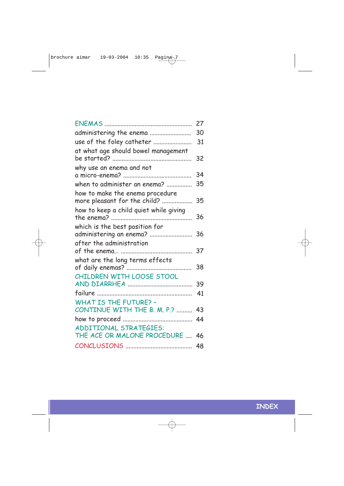|                                                                 | 27 |
|-----------------------------------------------------------------|----|
| administering the enema                                         | 30 |
| use of the foley catheter                                       | 31 |
| at what age should bowel management                             | 32 |
| why use an enema and not                                        | 34 |
| when to administer an enema?                                    | 35 |
| how to make the enema procedure<br>more pleasant for the child? | 35 |
| how to keep a child quiet while giving                          | 36 |
| which is the best position for<br>administering an enema?       | 36 |
| after the administration                                        | 37 |
| what are the long terms effects                                 | 38 |
| CHILDREN WITH LOOSE STOOL                                       | 39 |
|                                                                 | 41 |
| <b>WHAT IS THE FUTURE? -</b><br>CONTINUE WITH THE B. M. P.?     | 43 |
|                                                                 | 44 |
| ADDITIONAL STRATEGIES:<br>THE ACE OR MALONE PROCEDURE           | 46 |
|                                                                 | 48 |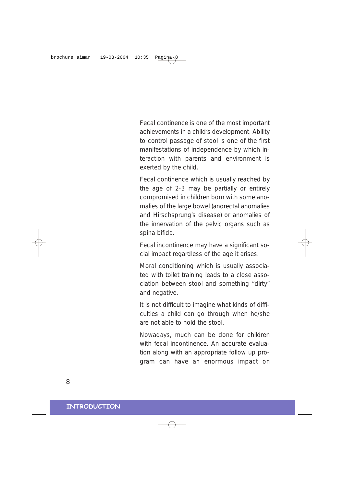Fecal continence is one of the most important achievements in a child's development. Ability to control passage of stool is one of the first manifestations of independence by which interaction with parents and environment is exerted by the child.

Fecal continence which is usually reached by the age of 2-3 may be partially or entirely compromised in children born with some anomalies of the large bowel (anorectal anomalies and Hirschsprung's disease) or anomalies of the innervation of the pelvic organs such as spina bifida.

Fecal incontinence may have a significant social impact regardless of the age it arises.

Moral conditioning which is usually associated with toilet training leads to a close association between stool and something "dirty" and negative.

It is not difficult to imagine what kinds of difficulties a child can go through when he/she are not able to hold the stool.

Nowadays, much can be done for children with fecal incontinence. An accurate evaluation along with an appropriate follow up program can have an enormous impact on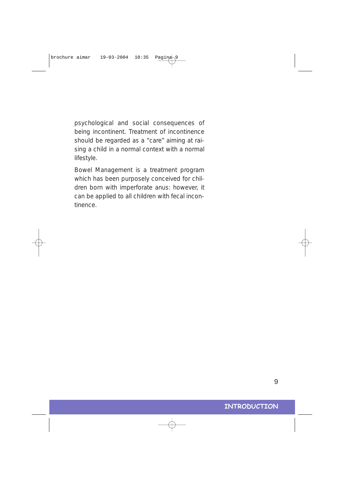psychological and social consequences of being incontinent. Treatment of incontinence should be regarded as a "care" aiming at raising a child in a normal context with a normal lifestyle.

Bowel Management is a treatment program which has been purposely conceived for children born with imperforate anus: however, it can be applied to all children with fecal incontinence.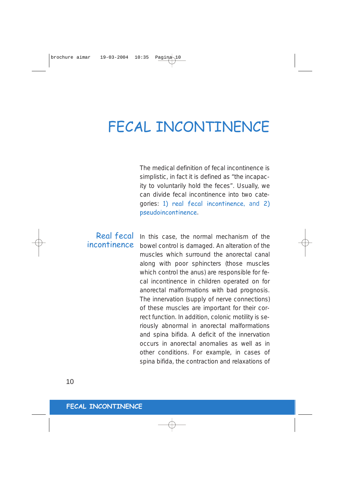## FECAL INCONTINENCE

The medical definition of fecal incontinence is simplistic, in fact it is defined as "the incapacity to voluntarily hold the feces". Usually, we can divide fecal incontinence into two categories: 1) real fecal incontinence, and 2) pseudoincontinence.

## Real fecal incontinence

In this case, the normal mechanism of the bowel control is damaged. An alteration of the muscles which surround the anorectal canal along with poor sphincters (those muscles which control the anus) are responsible for fecal incontinence in children operated on for anorectal malformations with bad prognosis. The innervation (supply of nerve connections) of these muscles are important for their correct function. In addition, colonic motility is seriously abnormal in anorectal malformations and spina bifida. A deficit of the innervation occurs in anorectal anomalies as well as in other conditions. For example, in cases of spina bifida, the contraction and relaxations of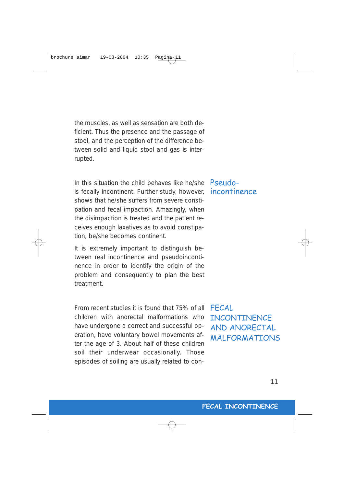the muscles, as well as sensation are both deficient. Thus the presence and the passage of stool, and the perception of the difference between solid and liquid stool and gas is interrupted.

In this situation the child behaves like he/she Pseudois fecally incontinent. Further study, however, shows that he/she suffers from severe constipation and fecal impaction. Amazingly, when the disimpaction is treated and the patient receives enough laxatives as to avoid constipation, be/she becomes continent.

It is extremely important to distinguish between real incontinence and pseudoincontinence in order to identify the origin of the problem and consequently to plan the best treatment.

From recent studies it is found that 75% of all children with anorectal malformations who have undergone a correct and successful operation, have voluntary bowel movements after the age of 3. About half of these children soil their underwear occasionally. Those episodes of soiling are usually related to con-

incontinence

FECAL **INCONTINENCE** AND ANORECTAL MALFORMATIONS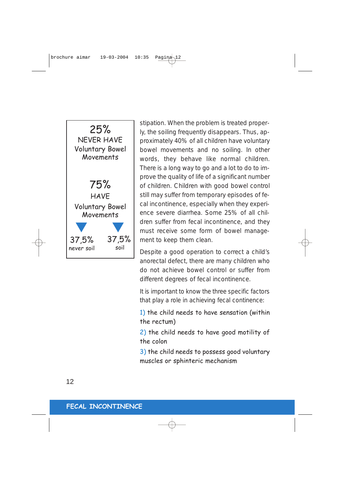

stipation. When the problem is treated properly, the soiling frequently disappears. Thus, approximately 40% of all children have voluntary bowel movements and no soiling. In other words, they behave like normal children. There is a long way to go and a lot to do to improve the quality of life of a significant number of children. Children with good bowel control still may suffer from temporary episodes of fecal incontinence, especially when they experience severe diarrhea. Some 25% of all children suffer from fecal incontinence, and they must receive some form of bowel management to keep them clean.

Despite a good operation to correct a child's anorectal defect, there are many children who do not achieve bowel control or suffer from different degrees of fecal incontinence.

It is important to know the three specific factors that play a role in achieving fecal continence:

1) the child needs to have sensation (within the rectum)

2) the child needs to have good motility of the colon

3) the child needs to possess good voluntary muscles or sphinteric mechanism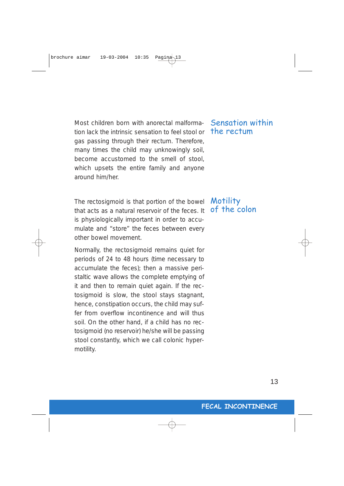Most children born with anorectal malformation lack the intrinsic sensation to feel stool or gas passing through their rectum. Therefore, many times the child may unknowingly soil, become accustomed to the smell of stool, which upsets the entire family and anyone around him/her.

The rectosigmoid is that portion of the bowel that acts as a natural reservoir of the feces. It is physiologically important in order to accumulate and "store" the feces between every other bowel movement.

Normally, the rectosigmoid remains quiet for periods of 24 to 48 hours (time necessary to accumulate the feces); then a massive peristaltic wave allows the complete emptying of it and then to remain quiet again. If the rectosigmoid is slow, the stool stays stagnant, hence, constipation occurs, the child may suffer from overflow incontinence and will thus soil. On the other hand, if a child has no rectosigmoid (no reservoir) he/she will be passing stool constantly, which we call colonic hypermotility.

## Sensation within the rectum

## **Motility** of the colon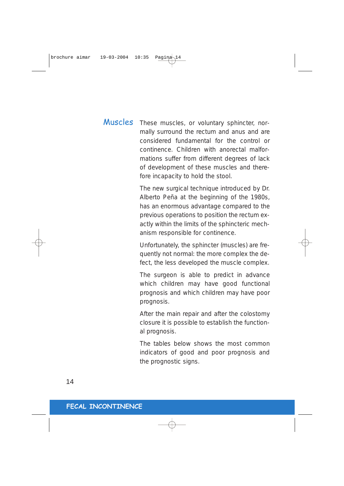## These muscles, or voluntary sphincter, normally surround the rectum and anus and are considered fundamental for the control or continence. Children with anorectal malformations suffer from different degrees of lack of development of these muscles and therefore incapacity to hold the stool. Muscles

The new surgical technique introduced by Dr. Alberto Peña at the beginning of the 1980s, has an enormous advantage compared to the previous operations to position the rectum exactly within the limits of the sphincteric mechanism responsible for continence.

Unfortunately, the sphincter (muscles) are frequently not normal: the more complex the defect, the less developed the muscle complex.

The surgeon is able to predict in advance which children may have good functional prognosis and which children may have poor prognosis.

After the main repair and after the colostomy closure it is possible to establish the functional prognosis.

The tables below shows the most common indicators of good and poor prognosis and the prognostic signs.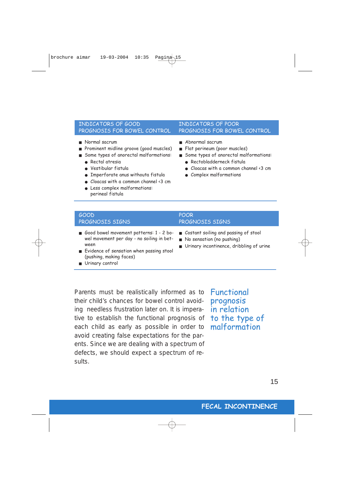### INDICATORS OF GOOD PROGNOSIS FOR BOWEL CONTROL

- Normal sacrum
- Prominent midline groove (good muscles)
- Some types of anorectal malformations:
	- Rectal atresia
	- Vestibular fistula
	- Imperforate anus withouta fistula
	- Cloacas with a common channel <3 cm
	- Less complex malformations: perineal fistula

### INDICATORS OF POOR PROGNOSIS FOR BOWEL CONTROL

- Abnormal sacrum
- Flat perineum (poor muscles)
- Some types of anorectal malformations:
	- Rectobladderneck fistula
	- Cloacas with a common channel <3 cm
	- Complex malformations

| GOOD                                                                                                                                                                          | <b>POOR</b>                                                             |
|-------------------------------------------------------------------------------------------------------------------------------------------------------------------------------|-------------------------------------------------------------------------|
| PROGNOSIS SIGNS                                                                                                                                                               | PROGNOSIS SIGNS                                                         |
| Good bowel movement patterns: 1 - 2 bo- Costant soiling and passing of stool<br>wel movement per day - no soiling in bet-<br>ween<br>Evidence of sensation when passing stool | No sensation (no pushing)<br>■ Urinary incontinence, dribbling of urine |

- (pushing, making faces)
- Urinary control

Parents must be realistically informed as to their child's chances for bowel control avoiding needless frustration later on. It is imperative to establish the functional prognosis of each child as early as possible in order to avoid creating false expectations for the parents. Since we are dealing with a spectrum of defects, we should expect a spectrum of results.

Functional prognosis in relation to the type of malformation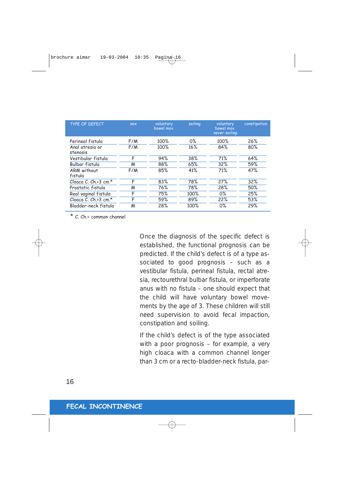| <b>TYPE OF DEFECT</b>                           | sex        | voluntary<br>bowel mov. | soiling      | voluntary<br>bowel mov.<br>never soiling | constipation |
|-------------------------------------------------|------------|-------------------------|--------------|------------------------------------------|--------------|
| Perineal fistula<br>Anal atresia or<br>stenosis | F/M<br>F/M | 100%<br>100%            | $0\%$<br>16% | 100%<br>84%                              | 26%<br>80%   |
| Vestibular fistula<br>Bulbar fistula            | F<br>M     | 94%<br>88%              | 38%<br>65%   | 71%<br>32%                               | 64%<br>59%   |
| ARM without<br>fistula                          | F/M        | 85%                     | 41%          | 71%                                      | 47%          |
| Cloaca C. Ch. $\leq$ 3 cm. $\star$              | F          | 83%                     | 78%          | 27%                                      | 32%          |
| Prostatic fistula                               | M          | 76%                     | 78%          | 28%                                      | 50%          |
| Real vaginal fistula                            | F          | 75%                     | 100%         | $0\%$                                    | 25%          |
| Cloaca C. Ch.>3 cm. $*$                         | F          | 59%                     | 89%          | 22%                                      | 53%          |
| Bladder-neck fistula                            | м          | 28%                     | 100%         | $0\%$                                    | 29%          |

\* C. Ch.= common channel

Once the diagnosis of the specific defect is established, the functional prognosis can be predicted. If the child's defect is of a type associated to good prognosis – such as a vestibular fistula, perineal fistula, rectal atresia, rectourethral bulbar fistula, or imperforate anus with no fistula – one should expect that the child will have voluntary bowel movements by the age of 3. These children will still need supervision to avoid fecal impaction, constipation and soiling.

If the child's defect is of the type associated with a poor prognosis – for example, a very high cloaca with a common channel longer than 3 cm or a recto-bladder-neck fistula, par-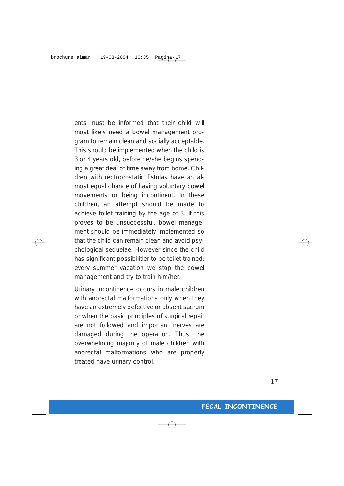ents must be informed that their child will most likely need a bowel management program to remain clean and socially acceptable. This should be implemented when the child is 3 or 4 years old, before he/she begins spending a great deal of time away from home. Children with rectoprostatic fistulas have an almost equal chance of having voluntary bowel movements or being incontinent. In these children, an attempt should be made to achieve toilet training by the age of 3. If this proves to be unsuccessful, bowel management should be immediately implemented so that the child can remain clean and avoid psychological sequelae. However since the child has significant possibilitier to be toilet trained; every summer vacation we stop the bowel management and try to train him/her.

Urinary incontinence occurs in male children with anorectal malformations only when they have an extremely defective or absent sacrum or when the basic principles of surgical repair are not followed and important nerves are damaged during the operation. Thus, the overwhelming majority of male children with anorectal malformations who are properly treated have urinary control.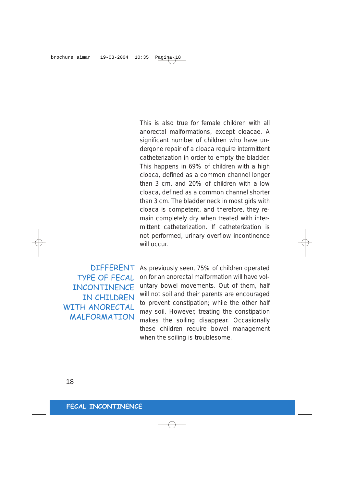This is also true for female children with all anorectal malformations, except cloacae. A significant number of children who have undergone repair of a cloaca require intermittent catheterization in order to empty the bladder. This happens in 69% of children with a high cloaca, defined as a common channel longer than 3 cm, and 20% of children with a low cloaca, defined as a common channel shorter than 3 cm. The bladder neck in most girls with cloaca is competent, and therefore, they remain completely dry when treated with intermittent catheterization. If catheterization is not performed, urinary overflow incontinence will occur.

**DIFFFRENT** TYPE OF FECAL **INCONTINENCE** IN CHILDREN WITH ANORECTAL MALFORMATION As previously seen, 75% of children operated on for an anorectal malformation will have voluntary bowel movements. Out of them, half will not soil and their parents are encouraged to prevent constipation; while the other half may soil. However, treating the constipation makes the soiling disappear. Occasionally these children require bowel management when the soiling is troublesome.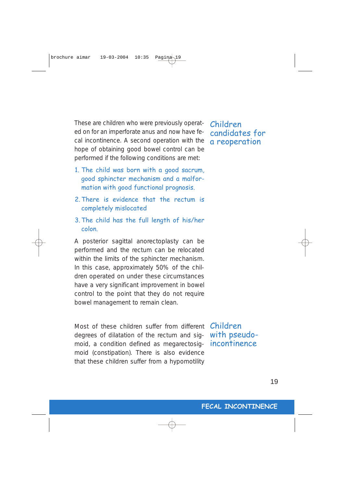These are children who were previously operated on for an imperforate anus and now have fecal incontinence. A second operation with the hope of obtaining good bowel control can be performed if the following conditions are met:

- 1. The child was born with a good sacrum, good sphincter mechanism and a malformation with good functional prognosis.
- 2. There is evidence that the rectum is completely mislocated
- 3. The child has the full length of his/her colon.

A posterior sagittal anorectoplasty can be performed and the rectum can be relocated within the limits of the sphincter mechanism. In this case, approximately 50% of the children operated on under these circumstances have a very significant improvement in bowel control to the point that they do not require bowel management to remain clean.

Most of these children suffer from different degrees of dilatation of the rectum and sigmoid, a condition defined as megarectosigmoid (constipation). There is also evidence that these children suffer from a hypomotility

Children with pseudoincontinence

Children candidates for a reoperation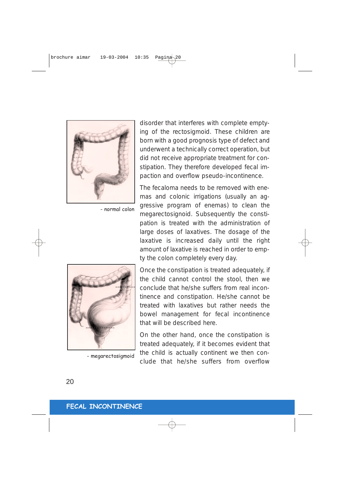

- normal colon



- megarectosigmoid

disorder that interferes with complete emptying of the rectosigmoid. These children are born with a good prognosis type of defect and underwent a technically correct operation, but did not receive appropriate treatment for constipation. They therefore developed fecal impaction and overflow pseudo-incontinence.

The fecaloma needs to be removed with enemas and colonic irrigations (usually an aggressive program of enemas) to clean the megarectosignoid. Subsequently the constipation is treated with the administration of large doses of laxatives. The dosage of the laxative is increased daily until the right amount of laxative is reached in order to empty the colon completely every day.

Once the constipation is treated adequately, if the child cannot control the stool, then we conclude that he/she suffers from real incontinence and constipation. He/she cannot be treated with laxatives but rather needs the bowel management for fecal incontinence that will be described here.

On the other hand, once the constipation is treated adequately, if it becomes evident that the child is actually continent we then conclude that he/she suffers from overflow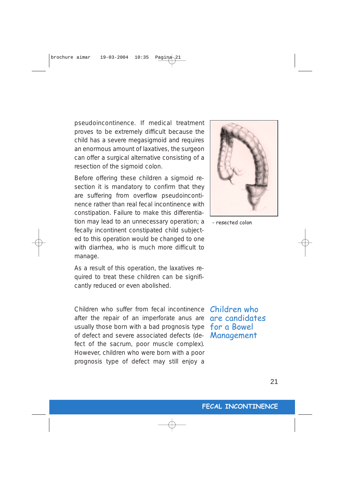pseudoincontinence. If medical treatment proves to be extremely difficult because the child has a severe megasigmoid and requires an enormous amount of laxatives, the surgeon can offer a surgical alternative consisting of a resection of the sigmoid colon.

Before offering these children a sigmoid resection it is mandatory to confirm that they are suffering from overflow pseudoincontinence rather than real fecal incontinence with constipation. Failure to make this differentiation may lead to an unnecessary operation; a fecally incontinent constipated child subjected to this operation would be changed to one with diarrhea, who is much more difficult to manage.

As a result of this operation, the laxatives required to treat these children can be significantly reduced or even abolished.

Children who suffer from fecal incontinence **Children who** usually those born with a bad prognosis type  $\,\mathsf{for}\,$  a  $\mathsf{Bowel}\,$ after the repair of an imperforate anus are of defect and severe associated defects (defect of the sacrum, poor muscle complex). However, children who were born with a poor prognosis type of defect may still enjoy a



- resected colon

are candidates Management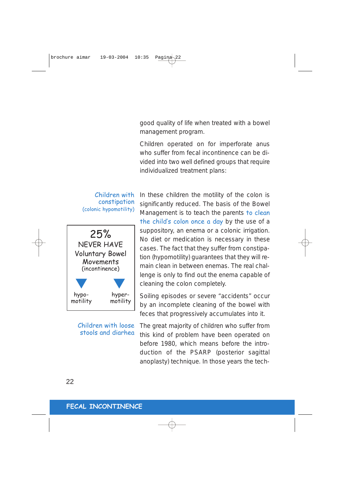good quality of life when treated with a bowel management program.

Children operated on for imperforate anus who suffer from fecal incontinence can be divided into two well defined groups that require individualized treatment plans:

### Children with constipation (colonic hypomotility)



Children with loose stools and diarhea

In these children the motility of the colon is significantly reduced. The basis of the Bowel Management is to teach the parents to clean the child's colon once a day by the use of a suppository, an enema or a colonic irrigation. No diet or medication is necessary in these cases. The fact that they suffer from constipation (hypomotility) guarantees that they will remain clean in between enemas. The real challenge is only to find out the enema capable of cleaning the colon completely.

Soiling episodes or severe "accidents" occur by an incomplete cleaning of the bowel with feces that progressively accumulates into it.

The great majority of children who suffer from this kind of problem have been operated on before 1980, which means before the introduction of the PSARP (posterior sagittal anoplasty) technique. In those years the tech-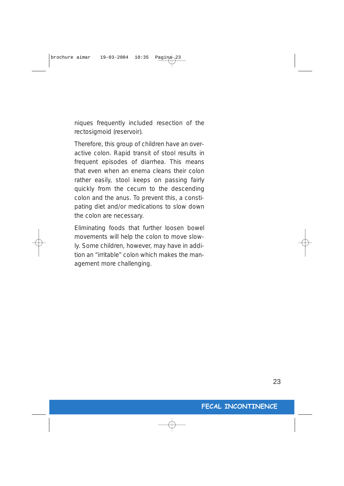niques frequently included resection of the rectosigmoid (reservoir).

Therefore, this group of children have an overactive colon. Rapid transit of stool results in frequent episodes of diarrhea. This means that even when an enema cleans their colon rather easily, stool keeps on passing fairly quickly from the cecum to the descending colon and the anus. To prevent this, a constipating diet and/or medications to slow down the colon are necessary.

Eliminating foods that further loosen bowel movements will help the colon to move slowly. Some children, however, may have in addition an "irritable" colon which makes the management more challenging.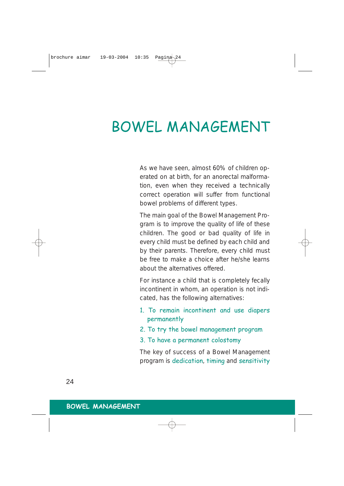## BOWEL MANAGEMENT

As we have seen, almost 60% of children operated on at birth, for an anorectal malformation, even when they received a technically correct operation will suffer from functional bowel problems of different types.

The main goal of the Bowel Management Program is to improve the quality of life of these children. The good or bad quality of life in every child must be defined by each child and by their parents. Therefore, every child must be free to make a choice after he/she learns about the alternatives offered.

For instance a child that is completely fecally incontinent in whom, an operation is not indicated, has the following alternatives:

- 1. To remain incontinent and use diapers permanently
- 2. To try the bowel management program
- 3. To have a permanent colostomy

The key of success of a Bowel Management program is dedication, timing and sensitivity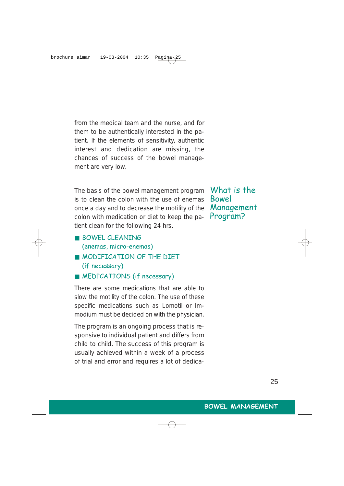from the medical team and the nurse, and for them to be authentically interested in the patient. If the elements of sensitivity, authentic interest and dedication are missing, the chances of success of the bowel management are very low.

The basis of the bowel management program is to clean the colon with the use of enemas once a day and to decrease the motility of the colon with medication or diet to keep the patient clean for the following 24 hrs.

What is the Bowel Management Program?

- BOWEL CLEANING (enemas, micro-enemas)
- MODIFICATION OF THE DIFT (if necessary)
- MEDICATIONS (if necessary)

There are some medications that are able to slow the motility of the colon. The use of these specific medications such as Lomotil or Immodium must be decided on with the physician.

The program is an ongoing process that is responsive to individual patient and differs from child to child. The success of this program is usually achieved within a week of a process of trial and error and requires a lot of dedica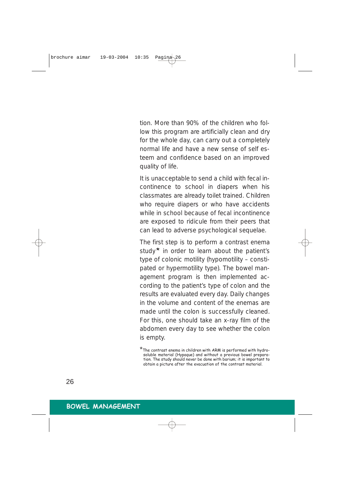tion. More than 90% of the children who follow this program are artificially clean and dry for the whole day, can carry out a completely normal life and have a new sense of self esteem and confidence based on an improved quality of life.

It is unacceptable to send a child with fecal incontinence to school in diapers when his classmates are already toilet trained. Children who require diapers or who have accidents while in school because of fecal incontinence are exposed to ridicule from their peers that can lead to adverse psychological sequelae.

The first step is to perform a contrast enema study<sup>\*</sup> in order to learn about the patient's type of colonic motility (hypomotility – constipated or hypermotility type). The bowel management program is then implemented according to the patient's type of colon and the results are evaluated every day. Daily changes in the volume and content of the enemas are made until the colon is successfully cleaned. For this, one should take an x-ray film of the abdomen every day to see whether the colon is empty.

<sup>\*</sup>The contrast enema in children with ARM is performed with hydrosoluble material (Hypaque) and without a previous bowel preparation. The study should never be done with barium; it is important to obtain a picture after the evacuation of the contrast material.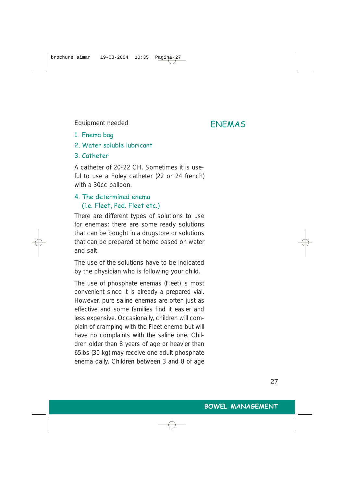Equipment needed **ENEMAS** 

- 1. Enema bag
- 2. Water soluble lubricant
- 3. Catheter

A catheter of 20-22 CH. Sometimes it is useful to use a Foley catheter (22 or 24 french) with a 30cc balloon.

## 4. The determined enema (i.e. Fleet, Ped. Fleet etc.)

There are different types of solutions to use for enemas: there are some ready solutions that can be bought in a drugstore or solutions that can be prepared at home based on water and salt.

The use of the solutions have to be indicated by the physician who is following your child.

The use of phosphate enemas (Fleet) is most convenient since it is already a prepared vial. However, pure saline enemas are often just as effective and some families find it easier and less expensive. Occasionally, children will complain of cramping with the Fleet enema but will have no complaints with the saline one. Children older than 8 years of age or heavier than 65lbs (30 kg) may receive one adult phosphate enema daily. Children between 3 and 8 of age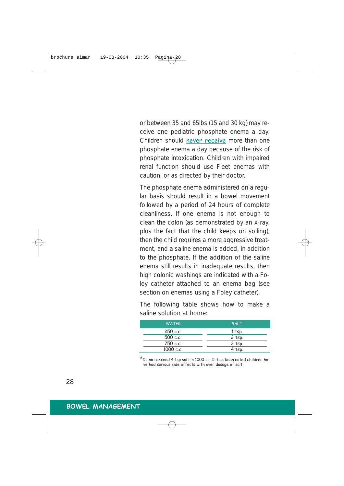or between 35 and 65lbs (15 and 30 kg) may receive one pediatric phosphate enema a day. Children should never receive more than one phosphate enema a day because of the risk of phosphate intoxication. Children with impaired renal function should use Fleet enemas with caution, or as directed by their doctor.

The phosphate enema administered on a regular basis should result in a bowel movement followed by a period of 24 hours of complete cleanliness. If one enema is not enough to clean the colon (as demonstrated by an x-ray, plus the fact that the child keeps on soiling), then the child requires a more aggressive treatment, and a saline enema is added, in addition to the phosphate. If the addition of the saline enema still results in inadequate results, then high colonic washings are indicated with a Foley catheter attached to an enema bag (see section on enemas using a Foley catheter).

The following table shows how to make a saline solution at home:

| <b>WATER</b> | <b>SALT</b> |
|--------------|-------------|
| 250 c.c.     | $1$ tsp.    |
| 500 c.c.     | $2$ tsp.    |
| 750 c.c.     | $3$ tsp.    |
| 1000 c.c.    | $4$ tsp.    |

\*Do not exceed 4 tsp salt in 1000 cc. It has been noted children ha-ve had serious side effects with over dosage of salt.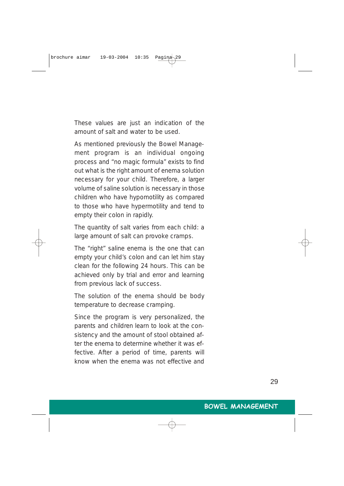These values are just an indication of the amount of salt and water to be used.

As mentioned previously the Bowel Management program is an individual ongoing process and "no magic formula" exists to find out what is the right amount of enema solution necessary for your child. Therefore, a larger volume of saline solution is necessary in those children who have hypomotility as compared to those who have hypermotility and tend to empty their colon in rapidly.

The quantity of salt varies from each child: a large amount of salt can provoke cramps.

The "right" saline enema is the one that can empty your child's colon and can let him stay clean for the following 24 hours. This can be achieved only by trial and error and learning from previous lack of success.

The solution of the enema should be body temperature to decrease cramping.

Since the program is very personalized, the parents and children learn to look at the consistency and the amount of stool obtained after the enema to determine whether it was effective. After a period of time, parents will know when the enema was not effective and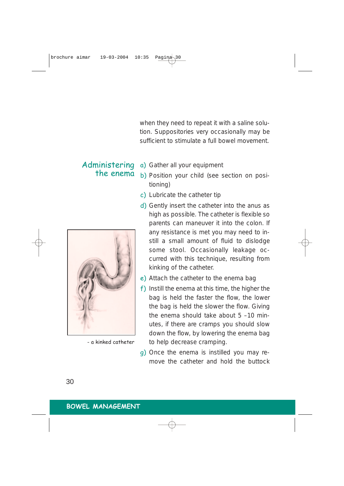when they need to repeat it with a saline solution. Suppositories very occasionally may be sufficient to stimulate a full bowel movement.

Administering the enema



- a kinked catheter

a) Gather all your equipment

- b) Position your child (see section on positioning)
- c) Lubricate the catheter tip
- d) Gently insert the catheter into the anus as high as possible. The catheter is flexible so parents can maneuver it into the colon. If any resistance is met you may need to instill a small amount of fluid to dislodge some stool. Occasionally leakage occurred with this technique, resulting from kinking of the catheter.
- e) Attach the catheter to the enema bag
- f) Instill the enema at this time, the higher the bag is held the faster the flow, the lower the bag is held the slower the flow. Giving the enema should take about 5 –10 minutes, if there are cramps you should slow down the flow, by lowering the enema bag to help decrease cramping.
- g) Once the enema is instilled you may remove the catheter and hold the buttock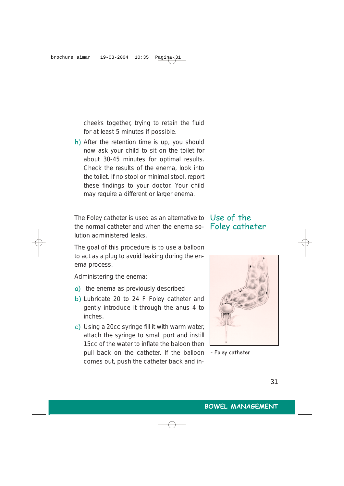cheeks together, trying to retain the fluid for at least 5 minutes if possible.

h) After the retention time is up, you should now ask your child to sit on the toilet for about 30-45 minutes for optimal results. Check the results of the enema, look into the toilet. If no stool or minimal stool, report these findings to your doctor. Your child may require a different or larger enema.

The Foley catheter is used as an alternative to  $\,$  Use of the  $\,$ the normal catheter and when the enema solution administered leaks.

## Foley catheter

The goal of this procedure is to use a balloon to act as a plug to avoid leaking during the enema process.

Administering the enema:

- a) the enema as previously described
- b) Lubricate 20 to 24 F Foley catheter and gently introduce it through the anus 4 to inches.
- c) Using a 20cc syringe fill it with warm water, attach the syringe to small port and instill 15cc of the water to inflate the baloon then pull back on the catheter. If the balloon comes out, push the catheter back and in-



- Foley catheter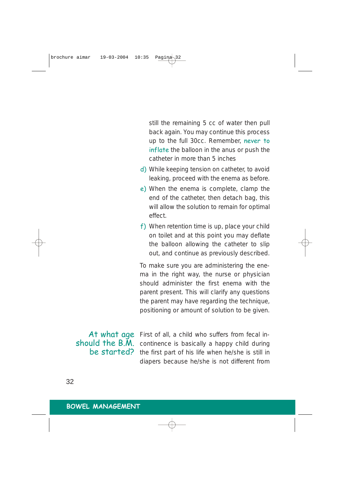still the remaining 5 cc of water then pull back again. You may continue this process up to the full 30cc. Remember, never to inflate the balloon in the anus or push the catheter in more than 5 inches

- d) While keeping tension on catheter, to avoid leaking, proceed with the enema as before.
- e) When the enema is complete, clamp the end of the catheter, then detach bag, this will allow the solution to remain for optimal effect.
- f) When retention time is up, place your child on toilet and at this point you may deflate the balloon allowing the catheter to slip out, and continue as previously described.

To make sure you are administering the enema in the right way, the nurse or physician should administer the first enema with the parent present. This will clarify any questions the parent may have regarding the technique, positioning or amount of solution to be given.

At what age should the B.M. be started?

First of all, a child who suffers from fecal incontinence is basically a happy child during the first part of his life when he/she is still in diapers because he/she is not different from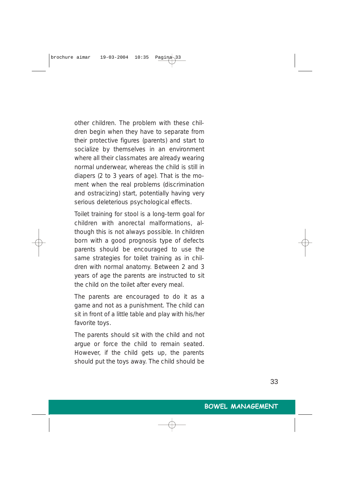other children. The problem with these children begin when they have to separate from their protective figures (parents) and start to socialize by themselves in an environment where all their classmates are already wearing normal underwear, whereas the child is still in diapers (2 to 3 years of age). That is the moment when the real problems (discrimination and ostracizing) start, potentially having very serious deleterious psychological effects.

Toilet training for stool is a long-term goal for children with anorectal malformations, although this is not always possible. In children born with a good prognosis type of defects parents should be encouraged to use the same strategies for toilet training as in children with normal anatomy. Between 2 and 3 years of age the parents are instructed to sit the child on the toilet after every meal.

The parents are encouraged to do it as a game and not as a punishment. The child can sit in front of a little table and play with his/her favorite toys.

The parents should sit with the child and not argue or force the child to remain seated. However, if the child gets up, the parents should put the toys away. The child should be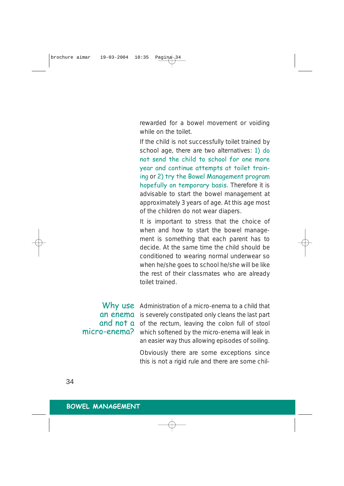rewarded for a bowel movement or voiding while on the toilet

If the child is not successfully toilet trained by school age, there are two alternatives: 1) do not send the child to school for one more year and continue attempts at toilet training or 2) try the Bowel Management program hopefully on temporary basis. Therefore it is advisable to start the bowel management at approximately 3 years of age. At this age most of the children do not wear diapers.

It is important to stress that the choice of when and how to start the bowel management is something that each parent has to decide. At the same time the child should be conditioned to wearing normal underwear so when he/she goes to school he/she will be like the rest of their classmates who are already toilet trained.

Why use Administration of a micro-enema to a child that an enema is severely constipated only cleans the last part and not a of the rectum, leaving the colon full of stool micro-enema? which softened by the micro-enema will leak in an easier way thus allowing episodes of soiling.

> Obviously there are some exceptions since this is not a rigid rule and there are some chil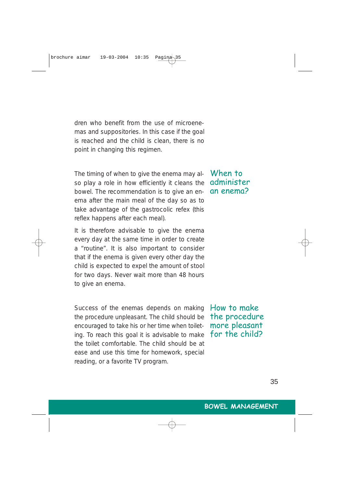dren who benefit from the use of microenemas and suppositories. In this case if the goal is reached and the child is clean, there is no point in changing this regimen.

The timing of when to give the enema may also play a role in how efficiently it cleans the bowel. The recommendation is to give an enema after the main meal of the day so as to take advantage of the gastrocolic refex (this reflex happens after each meal).

It is therefore advisable to give the enema every day at the same time in order to create a "routine". It is also important to consider that if the enema is given every other day the child is expected to expel the amount of stool for two days. Never wait more than 48 hours to give an enema.

Success of the enemas depends on making the procedure unpleasant. The child should be encouraged to take his or her time when toileting. To reach this goal it is advisable to make the toilet comfortable. The child should be at ease and use this time for homework, special reading, or a favorite TV program.

When to administer an enema?

How to make the procedure more pleasant for the child?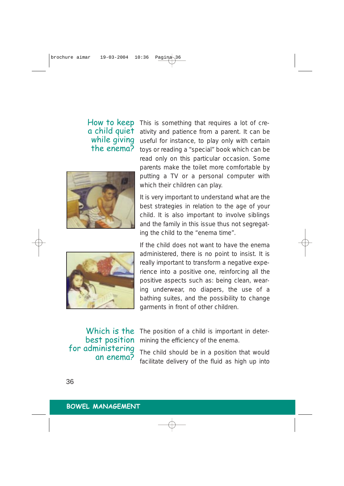## How to keep a child quiet while giving the enema?





This is something that requires a lot of creativity and patience from a parent. It can be useful for instance, to play only with certain toys or reading a "special" book which can be read only on this particular occasion. Some parents make the toilet more comfortable by putting a TV or a personal computer with which their children can play.

It is very important to understand what are the best strategies in relation to the age of your child. It is also important to involve siblings and the family in this issue thus not segregating the child to the "enema time".

If the child does not want to have the enema administered, there is no point to insist. It is really important to transform a negative experience into a positive one, reinforcing all the positive aspects such as: being clean, wearing underwear, no diapers, the use of a bathing suites, and the possibility to change garments in front of other children.

Which is the best position for administering an enema?

The position of a child is important in determining the efficiency of the enema.

The child should be in a position that would facilitate delivery of the fluid as high up into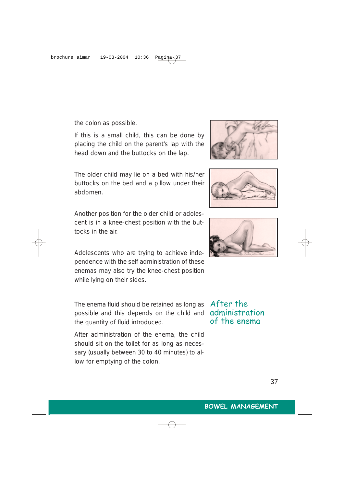the colon as possible.

If this is a small child, this can be done by placing the child on the parent's lap with the head down and the buttocks on the lap.

The older child may lie on a bed with his/her buttocks on the bed and a pillow under their abdomen.

Another position for the older child or adolescent is in a knee-chest position with the buttocks in the air.

Adolescents who are trying to achieve independence with the self administration of these enemas may also try the knee-chest position while lying on their sides.

The enema fluid should be retained as long as  $\,$  A $\mathsf{f}$ ter <code>the</code> possible and this depends on the child and **administration** the quantity of fluid introduced.

After administration of the enema, the child should sit on the toilet for as long as necessary (usually between 30 to 40 minutes) to allow for emptying of the colon.

# of the enema

37



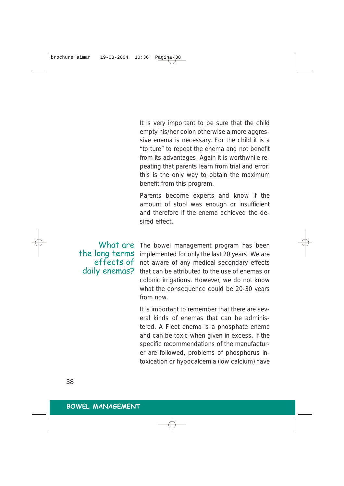It is very important to be sure that the child empty his/her colon otherwise a more aggressive enema is necessary. For the child it is a "torture" to repeat the enema and not benefit from its advantages. Again it is worthwhile repeating that parents learn from trial and error: this is the only way to obtain the maximum benefit from this program.

Parents become experts and know if the amount of stool was enough or insufficient and therefore if the enema achieved the desired effect.

the long terms effects of daily enemas?

What are The bowel management program has been implemented for only the last 20 years. We are not aware of any medical secondary effects that can be attributed to the use of enemas or colonic irrigations. However, we do not know what the consequence could be 20-30 years from now.

> It is important to remember that there are several kinds of enemas that can be administered. A Fleet enema is a phosphate enema and can be toxic when given in excess. If the specific recommendations of the manufacturer are followed, problems of phosphorus intoxication or hypocalcemia (low calcium) have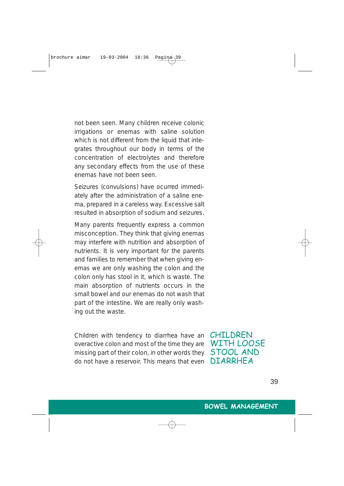not been seen. Many children receive colonic irrigations or enemas with saline solution which is not different from the liquid that integrates throughout our body in terms of the concentration of electrolytes and therefore any secondary effects from the use of these enemas have not been seen.

Seizures (convulsions) have ocurred immediately after the administration of a saline enema, prepared in a careless way. Excessive salt resulted in absorption of sodium and seizures.

Many parents frequently express a common misconception. They think that giving enemas may interfere with nutrition and absorption of nutrients. It is very important for the parents and families to remember that when giving enemas we are only washing the colon and the colon only has stool in it, which is waste. The main absorption of nutrients occurs in the small bowel and our enemas do not wash that part of the intestine. We are really only washing out the waste.

Children with tendency to diarrhea have an overactive colon and most of the time they are missing part of their colon, in other words they do not have a reservoir. This means that even

CHILDREN WITH LOOSE STOOL AND DIARRHEA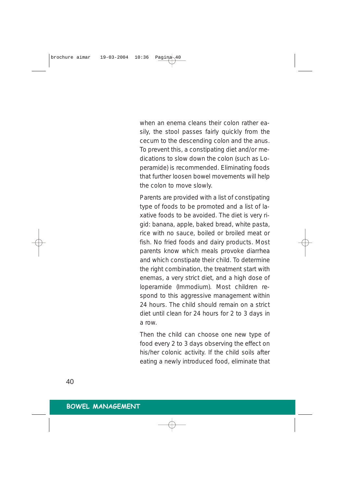when an enema cleans their colon rather easily, the stool passes fairly quickly from the cecum to the descending colon and the anus. To prevent this, a constipating diet and/or medications to slow down the colon (such as Loperamide) is recommended. Eliminating foods that further loosen bowel movements will help the colon to move slowly.

Parents are provided with a list of constipating type of foods to be promoted and a list of laxative foods to be avoided. The diet is very rigid: banana, apple, baked bread, white pasta, rice with no sauce, boiled or broiled meat or fish. No fried foods and dairy products. Most parents know which meals provoke diarrhea and which constipate their child. To determine the right combination, the treatment start with enemas, a very strict diet, and a high dose of loperamide (Immodium). Most children respond to this aggressive management within 24 hours. The child should remain on a strict diet until clean for 24 hours for 2 to 3 days in a row.

Then the child can choose one new type of food every 2 to 3 days observing the effect on his/her colonic activity. If the child soils after eating a newly introduced food, eliminate that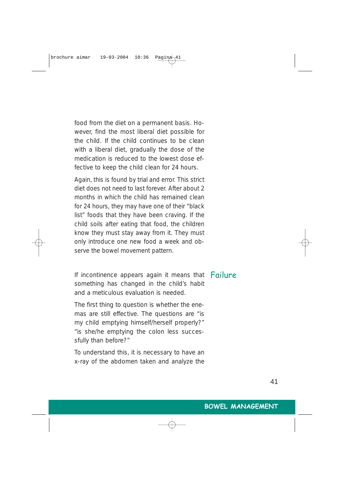food from the diet on a permanent basis. However, find the most liberal diet possible for the child. If the child continues to be clean with a liberal diet, gradually the dose of the medication is reduced to the lowest dose effective to keep the child clean for 24 hours.

Again, this is found by trial and error. This strict diet does not need to last forever. After about 2 months in which the child has remained clean for 24 hours, they may have one of their "black list" foods that they have been craving. If the child soils after eating that food, the children know they must stay away from it. They must only introduce one new food a week and observe the bowel movement pattern.

If incontinence appears again it means that Failure something has changed in the child's habit and a meticulous evaluation is needed.

The first thing to question is whether the enemas are still effective. The questions are "is my child emptying himself/herself properly?" "is she/he emptying the colon less successfully than before?"

To understand this, it is necessary to have an x-ray of the abdomen taken and analyze the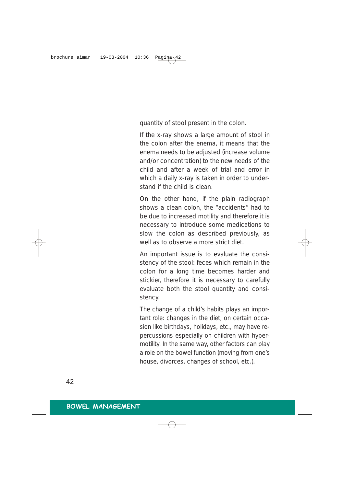quantity of stool present in the colon.

If the x-ray shows a large amount of stool in the colon after the enema, it means that the enema needs to be adjusted (increase volume and/or concentration) to the new needs of the child and after a week of trial and error in which a daily x-ray is taken in order to understand if the child is clean.

On the other hand, if the plain radiograph shows a clean colon, the "accidents" had to be due to increased motility and therefore it is necessary to introduce some medications to slow the colon as described previously, as well as to observe a more strict diet.

An important issue is to evaluate the consistency of the stool: feces which remain in the colon for a long time becomes harder and stickier, therefore it is necessary to carefully evaluate both the stool quantity and consistency.

The change of a child's habits plays an important role: changes in the diet, on certain occasion like birthdays, holidays, etc., may have repercussions especially on children with hypermotility. In the same way, other factors can play a role on the bowel function (moving from one's house, divorces, changes of school, etc.).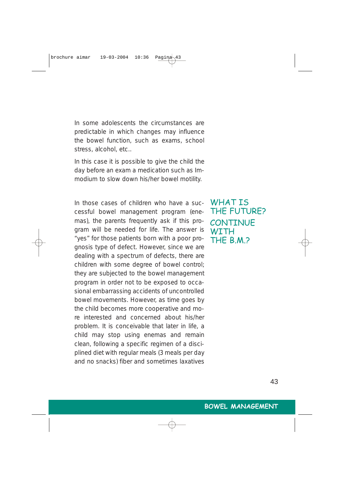In some adolescents the circumstances are predictable in which changes may influence the bowel function, such as exams, school stress, alcohol, etc..

In this case it is possible to give the child the day before an exam a medication such as Immodium to slow down his/her bowel motility.

In those cases of children who have a successful bowel management program (enemas), the parents frequently ask if this program will be needed for life. The answer is "yes" for those patients born with a poor prognosis type of defect. However, since we are dealing with a spectrum of defects, there are children with some degree of bowel control; they are subjected to the bowel management program in order not to be exposed to occasional embarrassing accidents of uncontrolled bowel movements. However, as time goes by the child becomes more cooperative and more interested and concerned about his/her problem. It is conceivable that later in life, a child may stop using enemas and remain clean, following a specific regimen of a disciplined diet with regular meals (3 meals per day and no snacks) fiber and sometimes laxatives

WHAT T.S. THE FUTURE? **CONTINUE WITH** THE B.M.?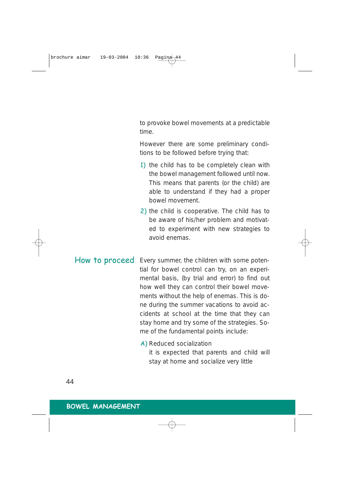to provoke bowel movements at a predictable time.

However there are some preliminary conditions to be followed before trying that:

- 1) the child has to be completely clean with the bowel management followed until now. This means that parents (or the child) are able to understand if they had a proper bowel movement.
- 2) the child is cooperative. The child has to be aware of his/her problem and motivated to experiment with new strategies to avoid enemas.
- How to proceed Every summer, the children with some potential for bowel control can try, on an experimental basis, (by trial and error) to find out how well they can control their bowel movements without the help of enemas. This is done during the summer vacations to avoid accidents at school at the time that they can stay home and try some of the strategies. Some of the fundamental points include:

## A) Reduced socialization

it is expected that parents and child will stay at home and socialize very little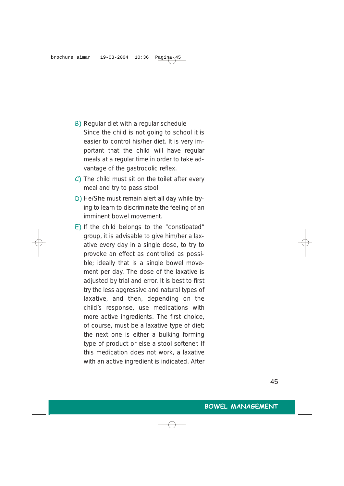- B) Regular diet with a regular schedule Since the child is not going to school it is easier to control his/her diet. It is very important that the child will have regular meals at a regular time in order to take advantage of the gastrocolic reflex.
- $\overline{C}$ ) The child must sit on the toilet after every meal and try to pass stool.
- D) He/She must remain alert all day while trying to learn to discriminate the feeling of an imminent bowel movement.
- E) If the child belongs to the "constipated" group, it is advisable to give him/her a laxative every day in a single dose, to try to provoke an effect as controlled as possible; ideally that is a single bowel movement per day. The dose of the laxative is adjusted by trial and error. It is best to first try the less aggressive and natural types of laxative, and then, depending on the child's response, use medications with more active ingredients. The first choice, of course, must be a laxative type of diet; the next one is either a bulking forming type of product or else a stool softener. If this medication does not work, a laxative with an active ingredient is indicated. After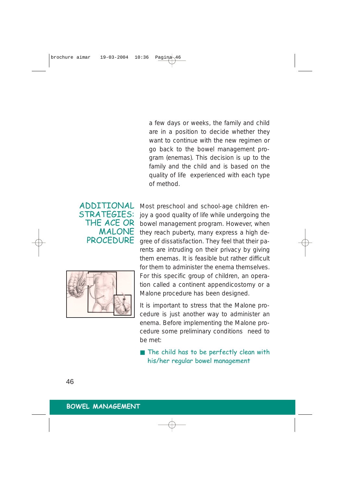a few days or weeks, the family and child are in a position to decide whether they want to continue with the new regimen or go back to the bowel management program (enemas). This decision is up to the family and the child and is based on the quality of life experienced with each type of method.

## ADDITIONAL STRATEGIES: THE ACE OR MALONE PROCEDURE



Most preschool and school-age children enjoy a good quality of life while undergoing the bowel management program. However, when they reach puberty, many express a high degree of dissatisfaction. They feel that their parents are intruding on their privacy by giving them enemas. It is feasible but rather difficult for them to administer the enema themselves. For this specific group of children, an operation called a continent appendicostomy or a Malone procedure has been designed.

It is important to stress that the Malone procedure is just another way to administer an enema. Before implementing the Malone procedure some preliminary conditions need to be met:

■ The child has to be perfectly clean with his/her regular bowel management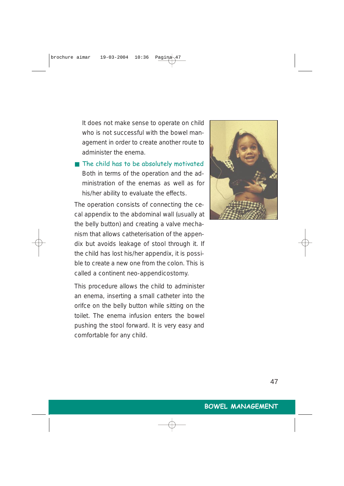It does not make sense to operate on child who is not successful with the bowel management in order to create another route to administer the enema.

■ The child has to be absolutely motivated Both in terms of the operation and the administration of the enemas as well as for his/her ability to evaluate the effects.

The operation consists of connecting the cecal appendix to the abdominal wall (usually at the belly button) and creating a valve mechanism that allows catheterisation of the appendix but avoids leakage of stool through it. If the child has lost his/her appendix, it is possible to create a new one from the colon. This is called a continent neo-appendicostomy.

This procedure allows the child to administer an enema, inserting a small catheter into the orifce on the belly button while sitting on the toilet. The enema infusion enters the bowel pushing the stool forward. It is very easy and comfortable for any child.

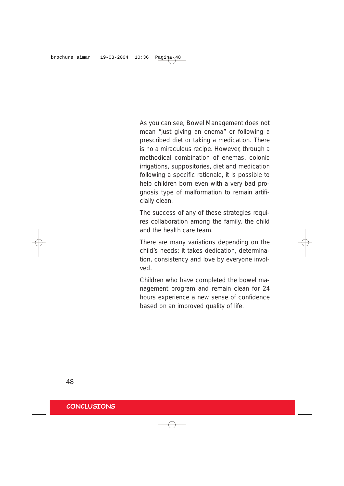As you can see, Bowel Management does not mean "just giving an enema" or following a prescribed diet or taking a medication. There is no a miraculous recipe. However, through a methodical combination of enemas, colonic irrigations, suppositories, diet and medication following a specific rationale, it is possible to help children born even with a very bad prognosis type of malformation to remain artificially clean.

The success of any of these strategies requires collaboration among the family, the child and the health care team.

There are many variations depending on the child's needs: it takes dedication, determination, consistency and love by everyone involved.

Children who have completed the bowel management program and remain clean for 24 hours experience a new sense of confidence based on an improved quality of life.